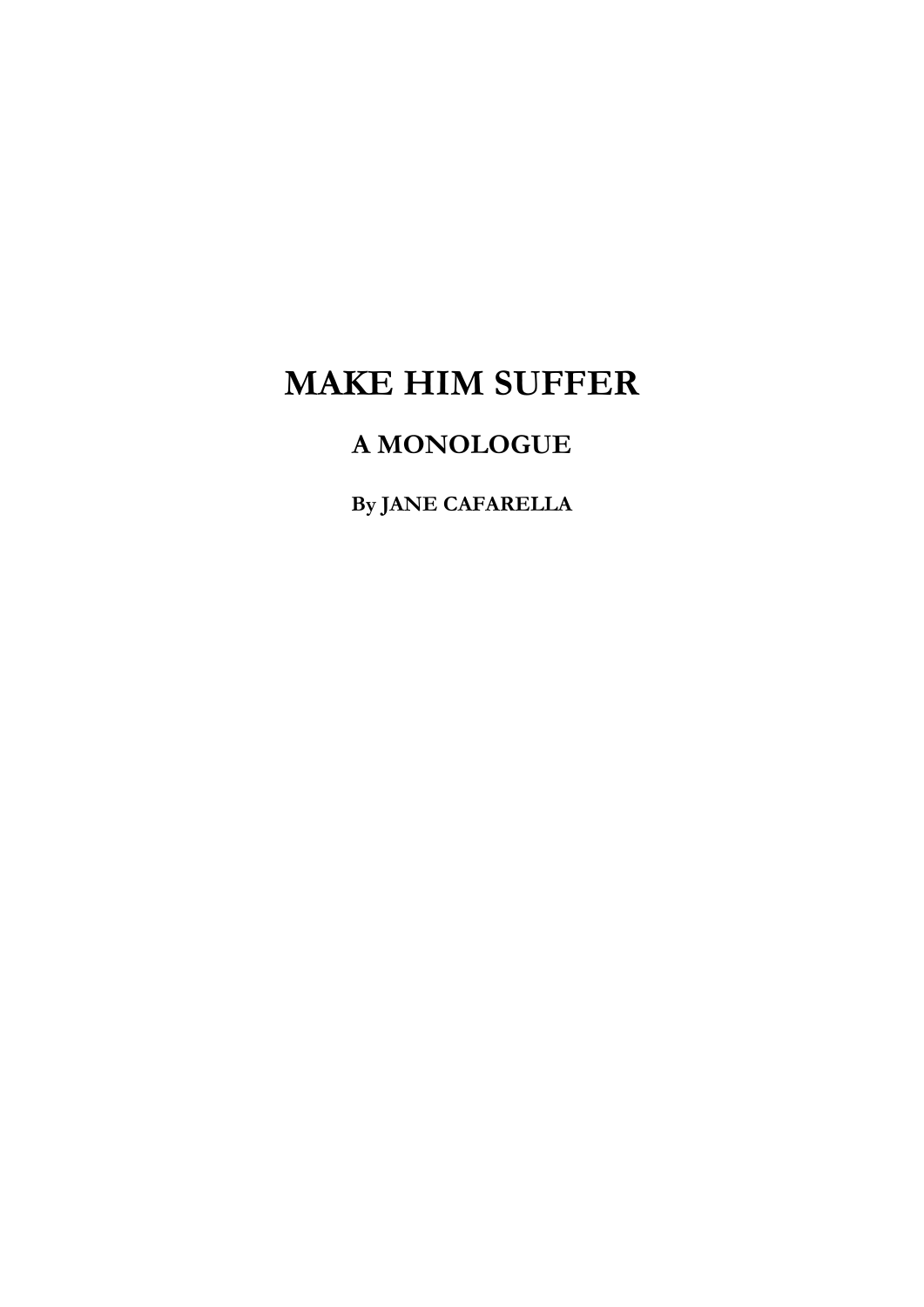## **MAKE HIM SUFFER**

## **A MONOLOGUE**

**By JANE CAFARELLA**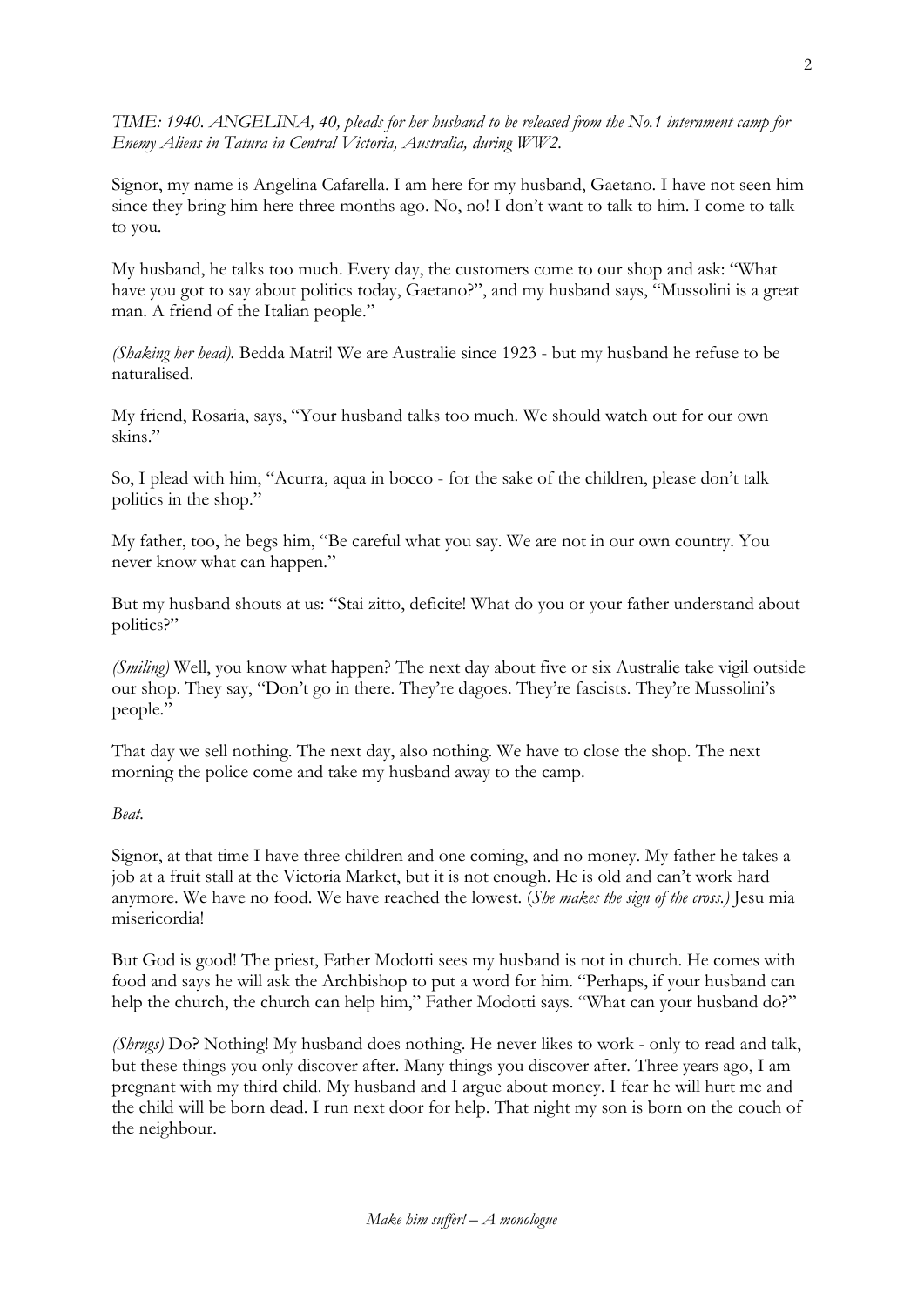*TIME: 1940. ANGELINA, 40, pleads for her husband to be released from the No.1 internment camp for Enemy Aliens in Tatura in Central Victoria, Australia, during WW2.* 

Signor, my name is Angelina Cafarella. I am here for my husband, Gaetano. I have not seen him since they bring him here three months ago. No, no! I don't want to talk to him. I come to talk to you.

My husband, he talks too much. Every day, the customers come to our shop and ask: "What have you got to say about politics today, Gaetano?", and my husband says, "Mussolini is a great man. A friend of the Italian people."

*(Shaking her head).* Bedda Matri! We are Australie since 1923 - but my husband he refuse to be naturalised.

My friend, Rosaria, says, "Your husband talks too much. We should watch out for our own skins."

So, I plead with him, "Acurra, aqua in bocco - for the sake of the children, please don't talk politics in the shop."

My father, too, he begs him, "Be careful what you say. We are not in our own country. You never know what can happen."

But my husband shouts at us: "Stai zitto, deficite! What do you or your father understand about politics?"

*(Smiling)* Well, you know what happen? The next day about five or six Australie take vigil outside our shop. They say, "Don't go in there. They're dagoes. They're fascists. They're Mussolini's people."

That day we sell nothing. The next day, also nothing. We have to close the shop. The next morning the police come and take my husband away to the camp.

*Beat.* 

Signor, at that time I have three children and one coming, and no money. My father he takes a job at a fruit stall at the Victoria Market, but it is not enough. He is old and can't work hard anymore. We have no food. We have reached the lowest. (*She makes the sign of the cross.)* Jesu mia misericordia!

But God is good! The priest, Father Modotti sees my husband is not in church. He comes with food and says he will ask the Archbishop to put a word for him. "Perhaps, if your husband can help the church, the church can help him," Father Modotti says. "What can your husband do?"

*(Shrugs)* Do? Nothing! My husband does nothing. He never likes to work - only to read and talk, but these things you only discover after. Many things you discover after. Three years ago, I am pregnant with my third child. My husband and I argue about money. I fear he will hurt me and the child will be born dead. I run next door for help. That night my son is born on the couch of the neighbour.